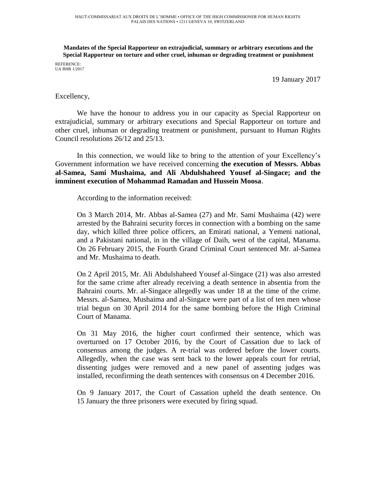**Mandates of the Special Rapporteur on extrajudicial, summary or arbitrary executions and the Special Rapporteur on torture and other cruel, inhuman or degrading treatment or punishment**

REFERENCE: UA BHR 1/2017

19 January 2017

## Excellency,

We have the honour to address you in our capacity as Special Rapporteur on extrajudicial, summary or arbitrary executions and Special Rapporteur on torture and other cruel, inhuman or degrading treatment or punishment, pursuant to Human Rights Council resolutions 26/12 and 25/13.

In this connection, we would like to bring to the attention of your Excellency's Government information we have received concerning **the execution of Messrs. Abbas al-Samea, Sami Mushaima, and Ali Abdulshaheed Yousef al-Singace; and the imminent execution of Mohammad Ramadan and Hussein Moosa**.

According to the information received:

On 3 March 2014, Mr. Abbas al-Samea (27) and Mr. Sami Mushaima (42) were arrested by the Bahraini security forces in connection with a bombing on the same day, which killed three police officers, an Emirati national, a Yemeni national, and a Pakistani national, in in the village of Daih, west of the capital, Manama. On 26 February 2015, the Fourth Grand Criminal Court sentenced Mr. al-Samea and Mr. Mushaima to death.

On 2 April 2015, Mr. Ali Abdulshaheed Yousef al-Singace (21) was also arrested for the same crime after already receiving a death sentence in absentia from the Bahraini courts. Mr. al-Singace allegedly was under 18 at the time of the crime. Messrs. al-Samea, Mushaima and al-Singace were part of a list of ten men whose trial begun on 30 April 2014 for the same bombing before the High Criminal Court of Manama.

On 31 May 2016, the higher court confirmed their sentence, which was overturned on 17 October 2016, by the Court of Cassation due to lack of consensus among the judges. A re-trial was ordered before the lower courts. Allegedly, when the case was sent back to the lower appeals court for retrial, dissenting judges were removed and a new panel of assenting judges was installed, reconfirming the death sentences with consensus on 4 December 2016.

On 9 January 2017, the Court of Cassation upheld the death sentence. On 15 January the three prisoners were executed by firing squad.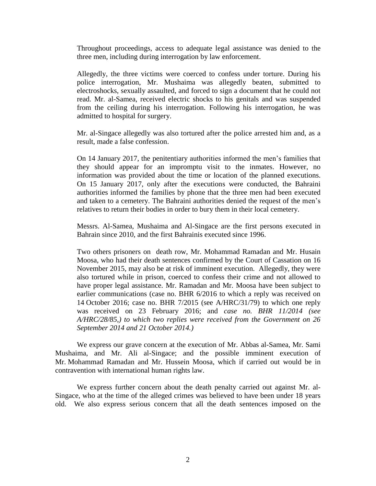Throughout proceedings, access to adequate legal assistance was denied to the three men, including during interrogation by law enforcement.

Allegedly, the three victims were coerced to confess under torture. During his police interrogation, Mr. Mushaima was allegedly beaten, submitted to electroshocks, sexually assaulted, and forced to sign a document that he could not read. Mr. al-Samea, received electric shocks to his genitals and was suspended from the ceiling during his interrogation. Following his interrogation, he was admitted to hospital for surgery.

Mr. al-Singace allegedly was also tortured after the police arrested him and, as a result, made a false confession.

On 14 January 2017, the penitentiary authorities informed the men's families that they should appear for an impromptu visit to the inmates. However, no information was provided about the time or location of the planned executions. On 15 January 2017, only after the executions were conducted, the Bahraini authorities informed the families by phone that the three men had been executed and taken to a cemetery. The Bahraini authorities denied the request of the men's relatives to return their bodies in order to bury them in their local cemetery.

Messrs. Al-Samea, Mushaima and Al-Singace are the first persons executed in Bahrain since 2010, and the first Bahrainis executed since 1996.

Two others prisoners on death row, Mr. Mohammad Ramadan and Mr. Husain Moosa, who had their death sentences confirmed by the Court of Cassation on 16 November 2015, may also be at risk of imminent execution. Allegedly, they were also tortured while in prison, coerced to confess their crime and not allowed to have proper legal assistance. Mr. Ramadan and Mr. Moosa have been subject to earlier communications (case no. BHR 6/2016 to which a reply was received on 14 October 2016; case no. BHR 7/2015 (see A/HRC/31/79) to which one reply was received on 23 February 2016; and *case no. BHR 11/2014 (see A/HRC/28/85,) to which two replies were received from the Government on 26 September 2014 and 21 October 2014.)*

We express our grave concern at the execution of Mr. Abbas al-Samea, Mr. Sami Mushaima, and Mr. Ali al-Singace; and the possible imminent execution of Mr. Mohammad Ramadan and Mr. Hussein Moosa, which if carried out would be in contravention with international human rights law.

We express further concern about the death penalty carried out against Mr. al-Singace, who at the time of the alleged crimes was believed to have been under 18 years old. We also express serious concern that all the death sentences imposed on the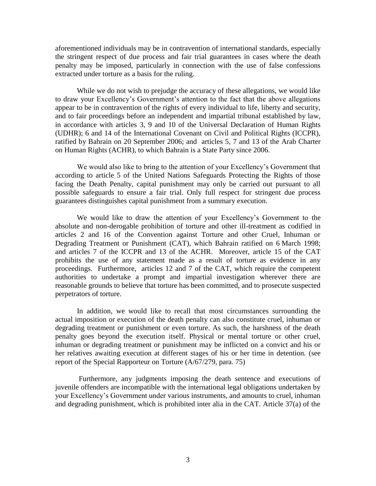aforementioned individuals may be in contravention of international standards, especially the stringent respect of due process and fair trial guarantees in cases where the death penalty may be imposed, particularly in connection with the use of false confessions extracted under torture as a basis for the ruling.

While we do not wish to prejudge the accuracy of these allegations, we would like to draw your Excellency's Government's attention to the fact that the above allegations appear to be in contravention of the rights of every individual to life, liberty and security, and to fair proceedings before an independent and impartial tribunal established by law, in accordance with articles 3, 9 and 10 of the Universal Declaration of Human Rights (UDHR); 6 and 14 of the International Covenant on Civil and Political Rights (ICCPR), ratified by Bahrain on 20 September 2006; and articles 5, 7 and 13 of the Arab Charter on Human Rights (ACHR), to which Bahrain is a State Party since 2006.

We would also like to bring to the attention of your Excellency's Government that according to article 5 of the United Nations Safeguards Protecting the Rights of those facing the Death Penalty, capital punishment may only be carried out pursuant to all possible safeguards to ensure a fair trial. Only full respect for stringent due process guarantees distinguishes capital punishment from a summary execution.

We would like to draw the attention of your Excellency's Government to the absolute and non-derogable prohibition of torture and other ill-treatment as codified in articles 2 and 16 of the Convention against Torture and other Cruel, Inhuman or Degrading Treatment or Punishment (CAT), which Bahrain ratified on 6 March 1998; and articles 7 of the ICCPR and 13 of the ACHR. Moreover, article 15 of the CAT prohibits the use of any statement made as a result of torture as evidence in any proceedings. Furthermore, articles 12 and 7 of the CAT, which require the competent authorities to undertake a prompt and impartial investigation wherever there are reasonable grounds to believe that torture has been committed, and to prosecute suspected perpetrators of torture.

In addition, we would like to recall that most circumstances surrounding the actual imposition or execution of the death penalty can also constitute cruel, inhuman or degrading treatment or punishment or even torture. As such, the harshness of the death penalty goes beyond the execution itself. Physical or mental torture or other cruel, inhuman or degrading treatment or punishment may be inflicted on a convict and his or her relatives awaiting execution at different stages of his or her time in detention. (see report of the Special Rapporteur on Torture (A/67/279, para. 75)

Furthermore, any judgments imposing the death sentence and executions of juvenile offenders are incompatible with the international legal obligations undertaken by your Excellency's Government under various instruments, and amounts to cruel, inhuman and degrading punishment, which is prohibited inter alia in the CAT. Article 37(a) of the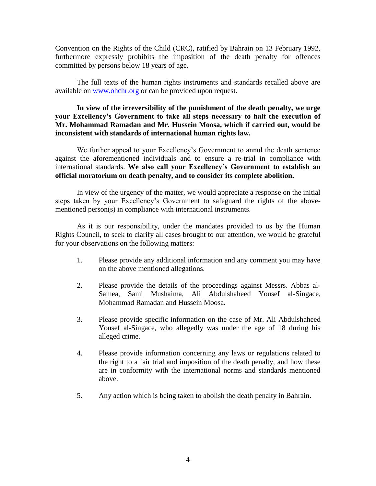Convention on the Rights of the Child (CRC), ratified by Bahrain on 13 February 1992, furthermore expressly prohibits the imposition of the death penalty for offences committed by persons below 18 years of age.

The full texts of the human rights instruments and standards recalled above are available on [www.ohchr.org](http://www.ohchr.org/) or can be provided upon request.

**In view of the irreversibility of the punishment of the death penalty, we urge your Excellency's Government to take all steps necessary to halt the execution of Mr. Mohammad Ramadan and Mr. Hussein Moosa, which if carried out, would be inconsistent with standards of international human rights law.**

We further appeal to your Excellency's Government to annul the death sentence against the aforementioned individuals and to ensure a re-trial in compliance with international standards. **We also call your Excellency's Government to establish an official moratorium on death penalty, and to consider its complete abolition.**

In view of the urgency of the matter, we would appreciate a response on the initial steps taken by your Excellency's Government to safeguard the rights of the abovementioned person(s) in compliance with international instruments.

As it is our responsibility, under the mandates provided to us by the Human Rights Council, to seek to clarify all cases brought to our attention, we would be grateful for your observations on the following matters:

- 1. Please provide any additional information and any comment you may have on the above mentioned allegations.
- 2. Please provide the details of the proceedings against Messrs. Abbas al-Samea, Sami Mushaima, Ali Abdulshaheed Yousef al-Singace, Mohammad Ramadan and Hussein Moosa.
- 3. Please provide specific information on the case of Mr. Ali Abdulshaheed Yousef al-Singace, who allegedly was under the age of 18 during his alleged crime.
- 4. Please provide information concerning any laws or regulations related to the right to a fair trial and imposition of the death penalty, and how these are in conformity with the international norms and standards mentioned above.
- 5. Any action which is being taken to abolish the death penalty in Bahrain.